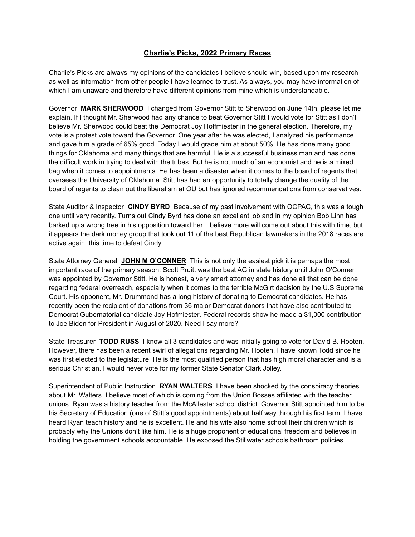## **Charlie's Picks, 2022 Primary Races**

Charlie's Picks are always my opinions of the candidates I believe should win, based upon my research as well as information from other people I have learned to trust. As always, you may have information of which I am unaware and therefore have different opinions from mine which is understandable.

Governor **MARK SHERWOOD** I changed from Governor Stitt to Sherwood on June 14th, please let me explain. If I thought Mr. Sherwood had any chance to beat Governor Stitt I would vote for Stitt as I don't believe Mr. Sherwood could beat the Democrat Joy Hoffmiester in the general election. Therefore, my vote is a protest vote toward the Governor. One year after he was elected, I analyzed his performance and gave him a grade of 65% good. Today I would grade him at about 50%. He has done many good things for Oklahoma and many things that are harmful. He is a successful business man and has done the difficult work in trying to deal with the tribes. But he is not much of an economist and he is a mixed bag when it comes to appointments. He has been a disaster when it comes to the board of regents that oversees the University of Oklahoma. Stitt has had an opportunity to totally change the quality of the board of regents to clean out the liberalism at OU but has ignored recommendations from conservatives.

State Auditor & Inspector **CINDY BYRD** Because of my past involvement with OCPAC, this was a tough one until very recently. Turns out Cindy Byrd has done an excellent job and in my opinion Bob Linn has barked up a wrong tree in his opposition toward her. I believe more will come out about this with time, but it appears the dark money group that took out 11 of the best Republican lawmakers in the 2018 races are active again, this time to defeat Cindy.

State Attorney General **JOHN M O'CONNER** This is not only the easiest pick it is perhaps the most important race of the primary season. Scott Pruitt was the best AG in state history until John O'Conner was appointed by Governor Stitt. He is honest, a very smart attorney and has done all that can be done regarding federal overreach, especially when it comes to the terrible McGirt decision by the U.S Supreme Court. His opponent, Mr. Drummond has a long history of donating to Democrat candidates. He has recently been the recipient of donations from 36 major Democrat donors that have also contributed to Democrat Gubernatorial candidate Joy Hofmiester. Federal records show he made a \$1,000 contribution to Joe Biden for President in August of 2020. Need I say more?

State Treasurer **TODD RUSS** I know all 3 candidates and was initially going to vote for David B. Hooten. However, there has been a recent swirl of allegations regarding Mr. Hooten. I have known Todd since he was first elected to the legislature. He is the most qualified person that has high moral character and is a serious Christian. I would never vote for my former State Senator Clark Jolley.

Superintendent of Public Instruction **RYAN WALTERS** I have been shocked by the conspiracy theories about Mr. Walters. I believe most of which is coming from the Union Bosses affiliated with the teacher unions. Ryan was a history teacher from the McAllester school district. Governor Stitt appointed him to be his Secretary of Education (one of Stitt's good appointments) about half way through his first term. I have heard Ryan teach history and he is excellent. He and his wife also home school their children which is probably why the Unions don't like him. He is a huge proponent of educational freedom and believes in holding the government schools accountable. He exposed the Stillwater schools bathroom policies.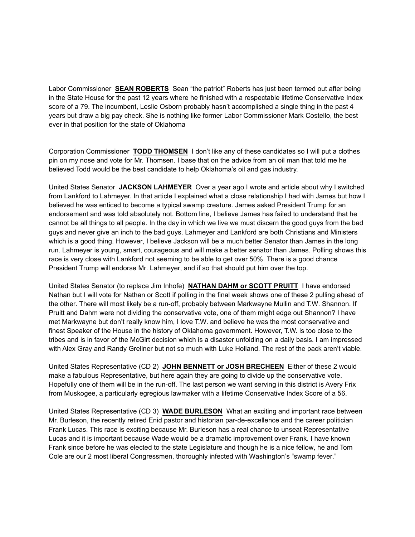Labor Commissioner **SEAN ROBERTS** Sean "the patriot" Roberts has just been termed out after being in the State House for the past 12 years where he finished with a respectable lifetime Conservative Index score of a 79. The incumbent, Leslie Osborn probably hasn't accomplished a single thing in the past 4 years but draw a big pay check. She is nothing like former Labor Commissioner Mark Costello, the best ever in that position for the state of Oklahoma

Corporation Commissioner **TODD THOMSEN** I don't like any of these candidates so I will put a clothes pin on my nose and vote for Mr. Thomsen. I base that on the advice from an oil man that told me he believed Todd would be the best candidate to help Oklahoma's oil and gas industry.

United States Senator **JACKSON LAHMEYER** Over a year ago I wrote and article about why I switched from Lankford to Lahmeyer. In that article I explained what a close relationship I had with James but how I believed he was enticed to become a typical swamp creature. James asked President Trump for an endorsement and was told absolutely not. Bottom line, I believe James has failed to understand that he cannot be all things to all people. In the day in which we live we must discern the good guys from the bad guys and never give an inch to the bad guys. Lahmeyer and Lankford are both Christians and Ministers which is a good thing. However, I believe Jackson will be a much better Senator than James in the long run. Lahmeyer is young, smart, courageous and will make a better senator than James. Polling shows this race is very close with Lankford not seeming to be able to get over 50%. There is a good chance President Trump will endorse Mr. Lahmeyer, and if so that should put him over the top.

United States Senator (to replace Jim Inhofe) **NATHAN DAHM or SCOTT PRUITT** I have endorsed Nathan but I will vote for Nathan or Scott if polling in the final week shows one of these 2 pulling ahead of the other. There will most likely be a run-off, probably between Markwayne Mullin and T.W. Shannon. If Pruitt and Dahm were not dividing the conservative vote, one of them might edge out Shannon? I have met Markwayne but don't really know him, I love T.W. and believe he was the most conservative and finest Speaker of the House in the history of Oklahoma government. However, T.W. is too close to the tribes and is in favor of the McGirt decision which is a disaster unfolding on a daily basis. I am impressed with Alex Gray and Randy Grellner but not so much with Luke Holland. The rest of the pack aren't viable.

United States Representative (CD 2) **JOHN BENNETT or JOSH BRECHEEN** Either of these 2 would make a fabulous Representative, but here again they are going to divide up the conservative vote. Hopefully one of them will be in the run-off. The last person we want serving in this district is Avery Frix from Muskogee, a particularly egregious lawmaker with a lifetime Conservative Index Score of a 56.

United States Representative (CD 3) **WADE BURLESON** What an exciting and important race between Mr. Burleson, the recently retired Enid pastor and historian par-de-excellence and the career politician Frank Lucas. This race is exciting because Mr. Burleson has a real chance to unseat Representative Lucas and it is important because Wade would be a dramatic improvement over Frank. I have known Frank since before he was elected to the state Legislature and though he is a nice fellow, he and Tom Cole are our 2 most liberal Congressmen, thoroughly infected with Washington's "swamp fever."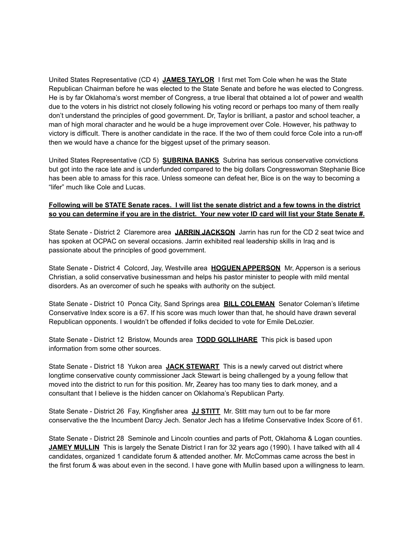United States Representative (CD 4) **JAMES TAYLOR** I first met Tom Cole when he was the State Republican Chairman before he was elected to the State Senate and before he was elected to Congress. He is by far Oklahoma's worst member of Congress, a true liberal that obtained a lot of power and wealth due to the voters in his district not closely following his voting record or perhaps too many of them really don't understand the principles of good government. Dr, Taylor is brilliant, a pastor and school teacher, a man of high moral character and he would be a huge improvement over Cole. However, his pathway to victory is difficult. There is another candidate in the race. If the two of them could force Cole into a run-off then we would have a chance for the biggest upset of the primary season.

United States Representative (CD 5) **SUBRINA BANKS** Subrina has serious conservative convictions but got into the race late and is underfunded compared to the big dollars Congresswoman Stephanie Bice has been able to amass for this race. Unless someone can defeat her, Bice is on the way to becoming a "lifer" much like Cole and Lucas.

## **Following will be STATE Senate races. I will list the senate district and a few towns in the district so you can determine if you are in the district. Your new voter ID card will list your State Senate #.**

State Senate - District 2 Claremore area **JARRIN JACKSON** Jarrin has run for the CD 2 seat twice and has spoken at OCPAC on several occasions. Jarrin exhibited real leadership skills in Iraq and is passionate about the principles of good government.

State Senate - District 4 Colcord, Jay, Westville area **HOGUEN APPERSON** Mr, Apperson is a serious Christian, a solid conservative businessman and helps his pastor minister to people with mild mental disorders. As an overcomer of such he speaks with authority on the subject.

State Senate - District 10 Ponca City, Sand Springs area **BILL COLEMAN** Senator Coleman's lifetime Conservative Index score is a 67. If his score was much lower than that, he should have drawn several Republican opponents. I wouldn't be offended if folks decided to vote for Emile DeLozier.

State Senate - District 12 Bristow, Mounds area **TODD GOLLIHARE** This pick is based upon information from some other sources.

State Senate - District 18 Yukon area **JACK STEWART** This is a newly carved out district where longtime conservative county commissioner Jack Stewart is being challenged by a young fellow that moved into the district to run for this position. Mr, Zearey has too many ties to dark money, and a consultant that I believe is the hidden cancer on Oklahoma's Republican Party.

State Senate - District 26 Fay, Kingfisher area **JJ STITT** Mr. Stitt may turn out to be far more conservative the the Incumbent Darcy Jech. Senator Jech has a lifetime Conservative Index Score of 61.

State Senate - District 28 Seminole and Lincoln counties and parts of Pott, Oklahoma & Logan counties. **JAMEY MULLIN** This is largely the Senate District I ran for 32 years ago (1990). I have talked with all 4 candidates, organized 1 candidate forum & attended another. Mr. McCommas came across the best in the first forum & was about even in the second. I have gone with Mullin based upon a willingness to learn.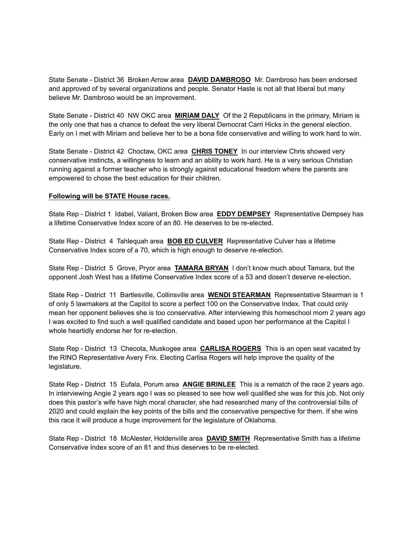State Senate - District 36 Broken Arrow area **DAVID DAMBROSO** Mr. Dambroso has been endorsed and approved of by several organizations and people. Senator Haste is not all that liberal but many believe Mr. Dambroso would be an improvement.

State Senate - District 40 NW OKC area **MIRIAM DALY** Of the 2 Republicans in the primary, Miriam is the only one that has a chance to defeat the very liberal Democrat Carri Hicks in the general election. Early on I met with Miriam and believe her to be a bona fide conservative and willing to work hard to win.

State Senate - District 42 Choctaw, OKC area **CHRIS TONEY** In our interview Chris showed very conservative instincts, a willingness to learn and an ability to work hard. He is a very serious Christian running against a former teacher who is strongly against educational freedom where the parents are empowered to chose the best education for their children.

## **Following will be STATE House races.**

State Rep - District 1 Idabel, Valiant, Broken Bow area **EDDY DEMPSEY** Representative Dempsey has a lifetime Conservative Index score of an 80. He deserves to be re-elected.

State Rep - District 4 Tahlequah area **BOB ED CULVER** Representative Culver has a lifetime Conservative Index score of a 70, which is high enough to deserve re-election.

State Rep - District 5 Grove, Pryor area **TAMARA BRYAN** I don't know much about Tamara, but the opponent Josh West has a lifetime Conservative Index score of a 53 and dosen't deserve re-election.

State Rep - District 11 Bartlesville, Collinsville area **WENDI STEARMAN** Representative Stearman is 1 of only 5 lawmakers at the Capitol to score a perfect 100 on the Conservative Index. That could only mean her opponent believes she is too conservative. After interviewing this homeschool mom 2 years ago I was excited to find such a well qualified candidate and based upon her performance at the Capitol I whole heartidly endorse her for re-election.

State Rep - District 13 Checota, Muskogee area **CARLISA ROGERS** This is an open seat vacated by the RINO Representative Avery Frix. Electing Carlisa Rogers will help improve the quality of the legislature.

State Rep - District 15 Eufala, Porum area **ANGIE BRINLEE** This is a rematch of the race 2 years ago. In interviewing Angie 2 years ago I was so pleased to see how well qualified she was for this job. Not only does this pastor's wife have high moral character, she had researched many of the controversial bills of 2020 and could explain the key points of the bills and the conservative perspective for them. If she wins this race it will produce a huge improvement for the legislature of Oklahoma.

State Rep - District 18 McAlester, Holdenville area **DAVID SMITH** Representative Smith has a lifetime Conservative Index score of an 81 and thus deserves to be re-elected.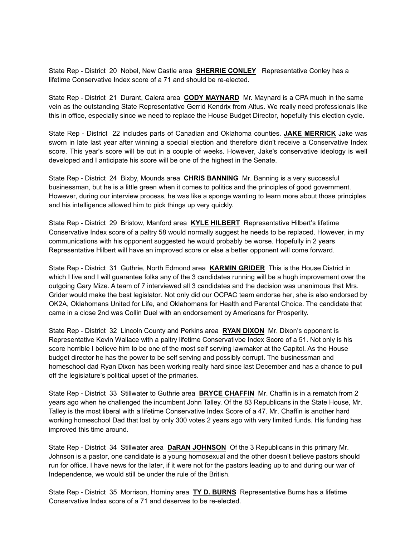State Rep - District 20 Nobel, New Castle area **SHERRIE CONLEY** Representative Conley has a lifetime Conservative Index score of a 71 and should be re-elected.

State Rep - District 21 Durant, Calera area **CODY MAYNARD** Mr. Maynard is a CPA much in the same vein as the outstanding State Representative Gerrid Kendrix from Altus. We really need professionals like this in office, especially since we need to replace the House Budget Director, hopefully this election cycle.

State Rep - District 22 includes parts of Canadian and Oklahoma counties. **JAKE MERRICK** Jake was sworn in late last year after winning a special election and therefore didn't receive a Conservative Index score. This year's score will be out in a couple of weeks. However, Jake's conservative ideology is well developed and I anticipate his score will be one of the highest in the Senate.

State Rep - District 24 Bixby, Mounds area **CHRIS BANNING** Mr. Banning is a very successful businessman, but he is a little green when it comes to politics and the principles of good government. However, during our interview process, he was like a sponge wanting to learn more about those principles and his intelligence allowed him to pick things up very quickly.

State Rep - District 29 Bristow, Manford area **KYLE HILBERT** Representative Hilbert's lifetime Conservative Index score of a paltry 58 would normally suggest he needs to be replaced. However, in my communications with his opponent suggested he would probably be worse. Hopefully in 2 years Representative Hilbert will have an improved score or else a better opponent will come forward.

State Rep - District 31 Guthrie, North Edmond area **KARMIN GRIDER** This is the House District in which I live and I will guarantee folks any of the 3 candidates running will be a hugh improvement over the outgoing Gary Mize. A team of 7 interviewed all 3 candidates and the decision was unanimous that Mrs. Grider would make the best legislator. Not only did our OCPAC team endorse her, she is also endorsed by OK2A, Oklahomans United for Life, and Oklahomans for Health and Parental Choice. The candidate that came in a close 2nd was Collin Duel with an endorsement by Americans for Prosperity.

State Rep - District 32 Lincoln County and Perkins area **RYAN DIXON** Mr. Dixon's opponent is Representative Kevin Wallace with a paltry lifetime Conservativbe Index Score of a 51. Not only is his score horrible I believe him to be one of the most self serving lawmaker at the Capitol. As the House budget director he has the power to be self serving and possibly corrupt. The businessman and homeschool dad Ryan Dixon has been working really hard since last December and has a chance to pull off the legislature's political upset of the primaries.

State Rep - District 33 Stillwater to Guthrie area **BRYCE CHAFFIN** Mr. Chaffin is in a rematch from 2 years ago when he challenged the incumbent John Talley. Of the 83 Republicans in the State House, Mr. Talley is the most liberal with a lifetime Conservative Index Score of a 47. Mr. Chaffin is another hard working homeschool Dad that lost by only 300 votes 2 years ago with very limited funds. His funding has improved this time around.

State Rep - District 34 Stillwater area **DaRAN JOHNSON** Of the 3 Republicans in this primary Mr. Johnson is a pastor, one candidate is a young homosexual and the other doesn't believe pastors should run for office. I have news for the later, if it were not for the pastors leading up to and during our war of Independence, we would still be under the rule of the British.

State Rep - District 35 Morrison, Hominy area **TY D. BURNS** Representative Burns has a lifetime Conservative Index score of a 71 and deserves to be re-elected.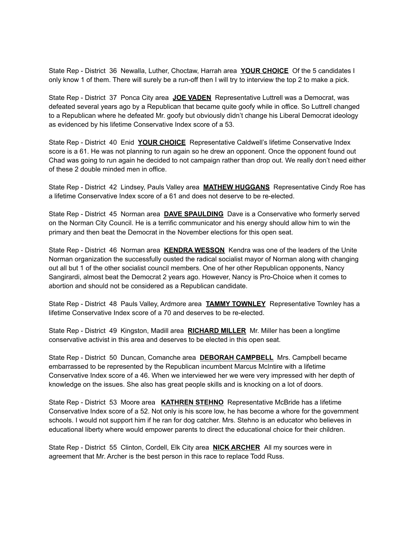State Rep - District 36 Newalla, Luther, Choctaw, Harrah area **YOUR CHOICE** Of the 5 candidates I only know 1 of them. There will surely be a run-off then I will try to interview the top 2 to make a pick.

State Rep - District 37 Ponca City area **JOE VADEN** Representative Luttrell was a Democrat, was defeated several years ago by a Republican that became quite goofy while in office. So Luttrell changed to a Republican where he defeated Mr. goofy but obviously didn't change his Liberal Democrat ideology as evidenced by his lifetime Conservative Index score of a 53.

State Rep - District 40 Enid **YOUR CHOICE** Representative Caldwell's lifetime Conservative Index score is a 61. He was not planning to run again so he drew an opponent. Once the opponent found out Chad was going to run again he decided to not campaign rather than drop out. We really don't need either of these 2 double minded men in office.

State Rep - District 42 Lindsey, Pauls Valley area **MATHEW HUGGANS** Representative Cindy Roe has a lifetime Conservative Index score of a 61 and does not deserve to be re-elected.

State Rep - District 45 Norman area **DAVE SPAULDING** Dave is a Conservative who formerly served on the Norman City Council. He is a terrific communicator and his energy should allow him to win the primary and then beat the Democrat in the November elections for this open seat.

State Rep - District 46 Norman area **KENDRA WESSON** Kendra was one of the leaders of the Unite Norman organization the successfully ousted the radical socialist mayor of Norman along with changing out all but 1 of the other socialist council members. One of her other Republican opponents, Nancy Sangirardi, almost beat the Democrat 2 years ago. However, Nancy is Pro-Choice when it comes to abortion and should not be considered as a Republican candidate.

State Rep - District 48 Pauls Valley, Ardmore area **TAMMY TOWNLEY** Representative Townley has a lifetime Conservative Index score of a 70 and deserves to be re-elected.

State Rep - District 49 Kingston, Madill area **RICHARD MILLER** Mr. Miller has been a longtime conservative activist in this area and deserves to be elected in this open seat.

State Rep - District 50 Duncan, Comanche area **DEBORAH CAMPBELL** Mrs. Campbell became embarrassed to be represented by the Republican incumbent Marcus McIntire with a lifetime Conservative Index score of a 46. When we interviewed her we were very impressed with her depth of knowledge on the issues. She also has great people skills and is knocking on a lot of doors.

State Rep - District 53 Moore area **KATHREN STEHNO** Representative McBride has a lifetime Conservative Index score of a 52. Not only is his score low, he has become a whore for the government schools. I would not support him if he ran for dog catcher. Mrs. Stehno is an educator who believes in educational liberty where would empower parents to direct the educational choice for their children.

State Rep - District 55 Clinton, Cordell, Elk City area **NICK ARCHER** All my sources were in agreement that Mr. Archer is the best person in this race to replace Todd Russ.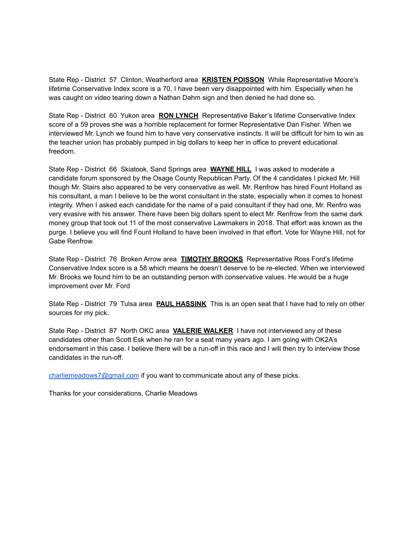State Rep - District 57 Clinton, Weatherford area **KRISTEN POISSON** While Representative Moore's lifetime Conservative Index score is a 70, I have been very disappointed with him. Especially when he was caught on video tearing down a Nathan Dahm sign and then denied he had done so.

State Rep - District 60 Yukon area **RON LYNCH** Representative Baker's lifetime Conservative Index score of a 59 proves she was a horrible replacement for former Representative Dan Fisher. When we interviewed Mr. Lynch we found him to have very conservative instincts. It will be difficult for him to win as the teacher union has probably pumped in big dollars to keep her in office to prevent educational freedom.

State Rep - District 66 Skiatook, Sand Springs area **WAYNE HILL** I was asked to moderate a candidate forum sponsored by the Osage County Republican Party. Of the 4 candidates I picked Mr. Hill though Mr. Stairs also appeared to be very conservative as well. Mr. Renfrow has hired Fount Holland as his consultant, a man I believe to be the worst consultant in the state, especially when it comes to honest integrity. When I asked each candidate for the name of a paid consultant if they had one, Mr. Renfro was very evasive with his answer. There have been big dollars spent to elect Mr. Renfrow from the same dark money group that took out 11 of the most conservative Lawmakers in 2018. That effort was known as the purge. I believe you will find Fount Holland to have been involved in that effort. Vote for Wayne Hill, not for Gabe Renfrow.

State Rep - District 76 Broken Arrow area **TIMOTHY BROOKS** Representative Ross Ford's lifetime Conservative Index score is a 58 which means he doesn't deserve to be re-elected. When we interviewed Mr. Brooks we found him to be an outstanding person with conservative values. He would be a huge improvement over Mr. Ford

State Rep - District 79 Tulsa area **PAUL HASSINK** This is an open seat that I have had to rely on other sources for my pick.

State Rep - District 87 North OKC area **VALERIE WALKER** I have not interviewed any of these candidates other than Scott Esk when he ran for a seat many years ago. I am going with OK2A's endorsement in this case. I believe there will be a run-off in this race and I will then try to interview those candidates in the run-off.

[charliemeadows7@gmail.com](mailto:charliemeadows7@gmail.com) if you want to communicate about any of these picks.

Thanks for your considerations, Charlie Meadows